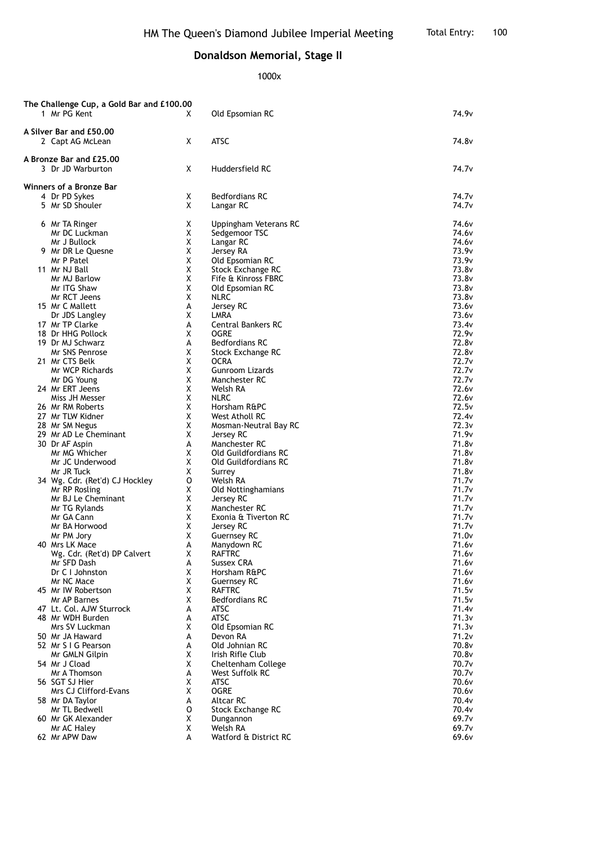## **Donaldson Memorial, Stage II**

1000x

| The Challenge Cup, a Gold Bar and £100.00 |                                |   |                        |                   |  |  |  |
|-------------------------------------------|--------------------------------|---|------------------------|-------------------|--|--|--|
|                                           | 1 Mr PG Kent                   | X | Old Epsomian RC        | 74.9v             |  |  |  |
|                                           |                                |   |                        |                   |  |  |  |
|                                           | A Silver Bar and £50.00        |   |                        |                   |  |  |  |
|                                           | 2 Capt AG McLean               | X | <b>ATSC</b>            | 74.8v             |  |  |  |
|                                           |                                |   |                        |                   |  |  |  |
|                                           |                                |   |                        |                   |  |  |  |
|                                           | A Bronze Bar and £25,00        |   |                        |                   |  |  |  |
|                                           | 3 Dr JD Warburton              | X | Huddersfield RC        | 74.7v             |  |  |  |
|                                           |                                |   |                        |                   |  |  |  |
|                                           | Winners of a Bronze Bar        |   |                        |                   |  |  |  |
|                                           | 4 Dr PD Sykes                  | Χ | <b>Bedfordians RC</b>  | 74.7v             |  |  |  |
|                                           | 5 Mr SD Shouler                | X | Langar RC              | 74.7 <sub>v</sub> |  |  |  |
|                                           |                                |   |                        |                   |  |  |  |
|                                           |                                |   |                        |                   |  |  |  |
|                                           | 6 Mr TA Ringer                 | Χ | Uppingham Veterans RC  | 74.6v             |  |  |  |
|                                           | Mr DC Luckman                  | X | Sedgemoor TSC          | 74.6 <sub>v</sub> |  |  |  |
|                                           | Mr J Bullock                   | X | Langar RC              | 74.6 <sub>v</sub> |  |  |  |
|                                           | 9 Mr DR Le Quesne              | χ | Jersey RA              | 73.9 <sub>v</sub> |  |  |  |
|                                           | Mr P Patel                     | χ | Old Epsomian RC        | 73.9 <sub>v</sub> |  |  |  |
|                                           | 11 Mr NJ Ball                  | Χ | Stock Exchange RC      | 73.8v             |  |  |  |
|                                           | Mr MJ Barlow                   | Χ | Fife & Kinross FBRC    | 73.8v             |  |  |  |
|                                           | Mr ITG Shaw                    | χ |                        | 73.8v             |  |  |  |
|                                           |                                |   | Old Epsomian RC        |                   |  |  |  |
|                                           | Mr RCT Jeens                   | Χ | <b>NLRC</b>            | 73.8 <sub>v</sub> |  |  |  |
|                                           | 15 Mr C Mallett                | A | Jersey RC              | 73.6 <sub>v</sub> |  |  |  |
|                                           | Dr JDS Langley                 | Χ | LMRA                   | 73.6v             |  |  |  |
|                                           | 17 Mr TP Clarke                | A | Central Bankers RC     | 73.4v             |  |  |  |
|                                           | 18 Dr HHG Pollock              | Χ | OGRE                   | 72.9 <sub>v</sub> |  |  |  |
|                                           | 19 Dr MJ Schwarz               | А | <b>Bedfordians RC</b>  | 72.8v             |  |  |  |
|                                           | Mr SNS Penrose                 | Χ | Stock Exchange RC      | 72.8v             |  |  |  |
|                                           |                                |   |                        |                   |  |  |  |
|                                           | 21 Mr CTS Belk                 | χ | OCRA                   | 72.7v             |  |  |  |
|                                           | Mr WCP Richards                | Χ | <b>Gunroom Lizards</b> | 72.7v             |  |  |  |
|                                           | Mr DG Young                    | Χ | Manchester RC          | 72.7v             |  |  |  |
|                                           | 24 Mr ERT Jeens                | Χ | Welsh RA               | 72.6v             |  |  |  |
|                                           | Miss JH Messer                 | X | <b>NLRC</b>            | 72.6 <sub>v</sub> |  |  |  |
|                                           | 26 Mr RM Roberts               | χ | Horsham R&PC           | 72.5v             |  |  |  |
|                                           | 27 Mr TLW Kidner               | Χ | West Atholl RC         | 72.4 <sub>v</sub> |  |  |  |
|                                           |                                |   |                        |                   |  |  |  |
|                                           | 28 Mr SM Negus                 | X | Mosman-Neutral Bay RC  | 72.3v             |  |  |  |
|                                           | 29 Mr AD Le Cheminant          | Χ | Jersey RC              | 71.9 <sub>v</sub> |  |  |  |
|                                           | 30 Dr AF Aspin                 | А | Manchester RC          | 71.8v             |  |  |  |
|                                           | Mr MG Whicher                  | χ | Old Guildfordians RC   | 71.8v             |  |  |  |
|                                           | Mr JC Underwood                | Χ | Old Guildfordians RC   | 71.8v             |  |  |  |
|                                           | Mr JR Tuck                     | Χ | Surrey                 | 71.8v             |  |  |  |
|                                           | 34 Wg. Cdr. (Ret'd) CJ Hockley | O | Welsh RA               | 71.7 <sub>v</sub> |  |  |  |
|                                           | Mr RP Rosling                  | Χ | Old Nottinghamians     | 71.7v             |  |  |  |
|                                           |                                |   |                        |                   |  |  |  |
|                                           | Mr BJ Le Cheminant             | χ | Jersey RC              | 71.7 <sub>v</sub> |  |  |  |
|                                           | Mr TG Rylands                  | Χ | Manchester RC          | 71.7 <sub>v</sub> |  |  |  |
|                                           | Mr GA Cann                     | Χ | Exonia & Tiverton RC   | 71.7v             |  |  |  |
|                                           | Mr BA Horwood                  | Χ | Jersey RC              | 71.7v             |  |  |  |
|                                           | Mr PM Jory                     | χ | <b>Guernsey RC</b>     | 71.0v             |  |  |  |
|                                           | 40 Mrs LK Mace                 | A | Manydown RC            | 71.6v             |  |  |  |
|                                           | Wg. Cdr. (Ret'd) DP Calvert    | X | RAFTRC                 | 71.6v             |  |  |  |
|                                           | Mr SFD Dash                    | А | <b>Sussex CRA</b>      | 71.6v             |  |  |  |
|                                           | Dr C I Johnston                |   | Horsham R&PC           |                   |  |  |  |
|                                           |                                | Χ |                        | 71.6 <sub>v</sub> |  |  |  |
|                                           | Mr NC Mace                     | X | <b>Guernsey RC</b>     | 71.6 <sub>v</sub> |  |  |  |
|                                           | 45 Mr IW Robertson             | Χ | <b>RAFTRC</b>          | 71.5v             |  |  |  |
|                                           | Mr AP Barnes                   | Χ | <b>Bedfordians RC</b>  | 71.5v             |  |  |  |
|                                           | 47 Lt. Col. AJW Sturrock       | А | ATSC                   | 71.4v             |  |  |  |
|                                           | 48 Mr WDH Burden               | А | <b>ATSC</b>            | 71.3v             |  |  |  |
|                                           | Mrs SV Luckman                 | Χ | Old Epsomian RC        | 71.3v             |  |  |  |
|                                           | 50 Mr JA Haward                | А | Devon RA               | 71.2v             |  |  |  |
|                                           |                                |   |                        |                   |  |  |  |
|                                           | 52 Mr S I G Pearson            | А | Old Johnian RC         | 70.8v             |  |  |  |
|                                           | Mr GMLN Gilpin                 | X | Irish Rifle Club       | 70.8v             |  |  |  |
|                                           | 54 Mr J Cload                  | X | Cheltenham College     | 70.7 <sub>v</sub> |  |  |  |
|                                           | Mr A Thomson                   | A | West Suffolk RC        | 70.7 <sub>v</sub> |  |  |  |
|                                           | 56 SGT SJ Hier                 | Χ | <b>ATSC</b>            | 70.6v             |  |  |  |
|                                           | Mrs CJ Clifford-Evans          | Χ | <b>OGRE</b>            | 70.6v             |  |  |  |
|                                           | 58 Mr DA Taylor                | А | <b>Altcar RC</b>       | 70.4v             |  |  |  |
|                                           |                                |   |                        | 70.4v             |  |  |  |
|                                           | Mr TL Bedwell                  | 0 | Stock Exchange RC      |                   |  |  |  |
|                                           | 60 Mr GK Alexander             | Χ | Dungannon              | 69.7v             |  |  |  |
|                                           | Mr AC Haley                    | X | Welsh RA               | 69.7v             |  |  |  |
|                                           | 62 Mr APW Daw                  | A | Watford & District RC  | 69.6v             |  |  |  |